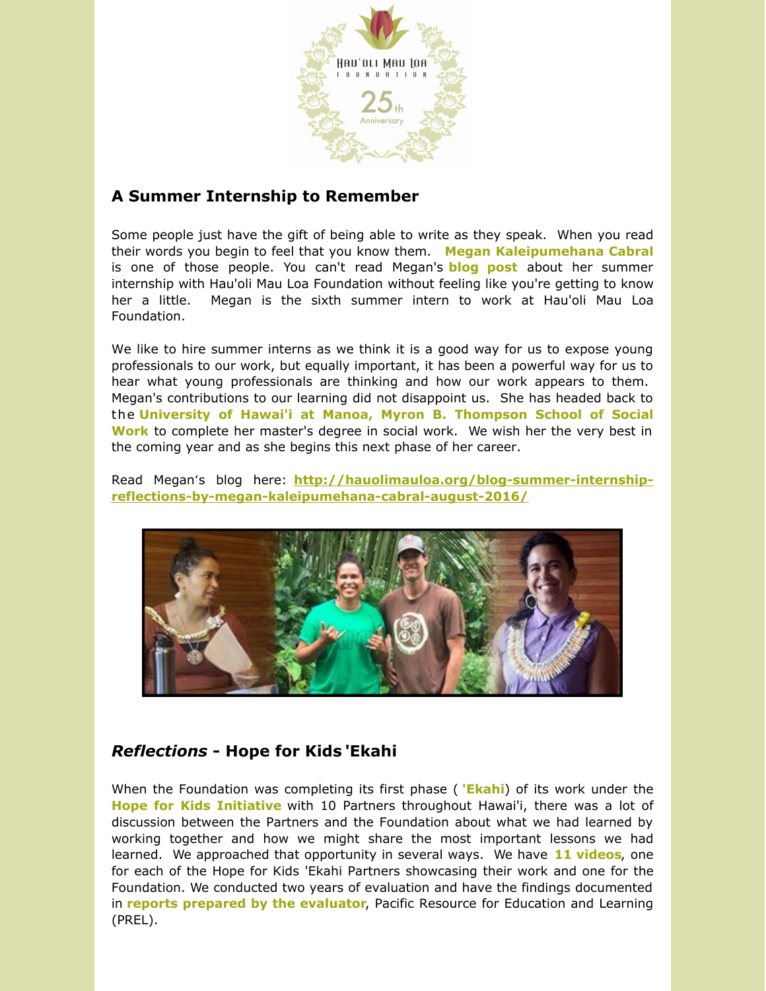

## **A Summer Internship to Remember**

Some people just have the gift of being able to write as they speak. When you read their words you begin to feel that you know them. **Megan [Kaleipumehana](http://hauolimauloa.org/hau%CA%BBoli-mau-loa-foundation-2016-summer-intern-megan-kaleipumehana-cabral/?utm_source=10.+Summer+Intern%27s+Blog+%26+Hope+for+Kids+%60Ekahi+Reflections&utm_campaign=Summer+Intern%27s+Blog+%26+Hope+for+Kids+%27Ekahi+Reflections&utm_medium=email) Cabral** is one of those people. You can't read Megan's **[blog](http://hauolimauloa.org/blog-summer-internship-reflections-by-megan-kaleipumehana-cabral-august-2016/?utm_source=10.+Summer+Intern%27s+Blog+%26+Hope+for+Kids+%60Ekahi+Reflections&utm_campaign=Summer+Intern%27s+Blog+%26+Hope+for+Kids+%27Ekahi+Reflections&utm_medium=email) post** about her summer internship with Hau'oli Mau Loa Foundation without feeling like you're getting to know her a little. Megan is the sixth summer intern to work at Hau'oli Mau Loa Foundation.

We like to hire summer interns as we think it is a good way for us to expose young professionals to our work, but equally important, it has been a powerful way for us to hear what young professionals are thinking and how our work appears to them. Megan's contributions to our learning did not disappoint us. She has headed back to the **University of Hawai'i at Manoa, Myron B. [Thompson](https://www.hawaii.edu/sswork/?utm_source=10.+Summer+Intern%27s+Blog+%26+Hope+for+Kids+%60Ekahi+Reflections&utm_campaign=Summer+Intern%27s+Blog+%26+Hope+for+Kids+%27Ekahi+Reflections&utm_medium=email) School of Social Work** to complete her master's degree in social work. We wish her the very best in the coming year and as she begins this next phase of her career.

Read Meganʻs blog here: **http://hauolimauloa.org/blog-summer-internship[reflections-by-megan-kaleipumehana-cabral-august-2016/](http://hauolimauloa.org/blog-summer-internship-reflections-by-megan-kaleipumehana-cabral-august-2016/?utm_source=10.+Summer+Intern%27s+Blog+%26+Hope+for+Kids+%60Ekahi+Reflections&utm_campaign=Summer+Intern%27s+Blog+%26+Hope+for+Kids+%27Ekahi+Reflections&utm_medium=email)**



## *Reflections* **- Hope for Kids 'Ekahi**

When the Foundation was completing its first phase ( **['Ekahi](http://hauolimauloa.org/program/hope-for-kids/hope-for-kids-ekahi/?utm_source=10.+Summer+Intern%27s+Blog+%26+Hope+for+Kids+%60Ekahi+Reflections&utm_campaign=Summer+Intern%27s+Blog+%26+Hope+for+Kids+%27Ekahi+Reflections&utm_medium=email)**) of its work under the **Hope for Kids [Initiative](http://hauolimauloa.org/program/hope-for-kids/?utm_source=10.+Summer+Intern%27s+Blog+%26+Hope+for+Kids+%60Ekahi+Reflections&utm_campaign=Summer+Intern%27s+Blog+%26+Hope+for+Kids+%27Ekahi+Reflections&utm_medium=email)** with 10 Partners throughout Hawai'i, there was a lot of discussion between the Partners and the Foundation about what we had learned by working together and how we might share the most important lessons we had learned. We approached that opportunity in several ways. We have **11 [videos](http://hauolimauloa.org/videos/?utm_source=10.+Summer+Intern%27s+Blog+%26+Hope+for+Kids+%60Ekahi+Reflections&utm_campaign=Summer+Intern%27s+Blog+%26+Hope+for+Kids+%27Ekahi+Reflections&utm_medium=email)**, one for each of the Hope for Kids 'Ekahi Partners showcasing their work and one for the Foundation. We conducted two years of evaluation and have the findings documented in **reports prepared by the [evaluator](http://hauolimauloa.org/hope-for-kids-executive-summary-and-evaluation-report-prel-august-2015/?utm_source=10.+Summer+Intern%27s+Blog+%26+Hope+for+Kids+%60Ekahi+Reflections&utm_campaign=Summer+Intern%27s+Blog+%26+Hope+for+Kids+%27Ekahi+Reflections&utm_medium=email)**, Pacific Resource for Education and Learning (PREL).